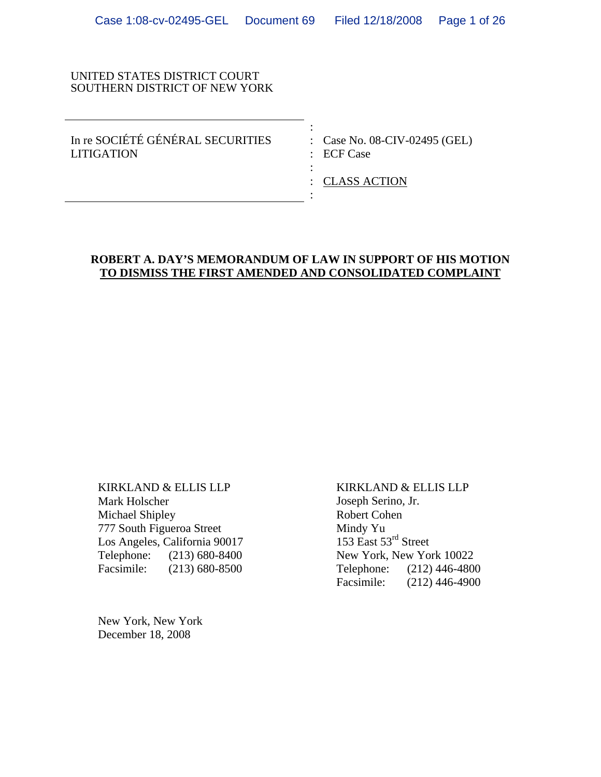#### UNITED STATES DISTRICT COURT SOUTHERN DISTRICT OF NEW YORK

the contract of the contract of the contract of the contract of the contract of the contract of the contract of In re SOCIÉTÉ GÉNÉRAL SECURITIES : Case No. 08-CIV-02495 (GEL) LITIGATION : ECF Case

the contract of the contract of the contract of the contract of the contract of the contract of the contract of

: CLASS ACTION

## **ROBERT A. DAY'S MEMORANDUM OF LAW IN SUPPORT OF HIS MOTION TO DISMISS THE FIRST AMENDED AND CONSOLIDATED COMPLAINT**

**Service State State State State** 

KIRKLAND & ELLIS LLP Mark Holscher Michael Shipley 777 South Figueroa Street Los Angeles, California 90017 Telephone: (213) 680-8400 Facsimile: (213) 680-8500

New York, New York December 18, 2008

KIRKLAND & ELLIS LLP Joseph Serino, Jr. Robert Cohen Mindy Yu 153 East 53<sup>rd</sup> Street New York, New York 10022 Telephone: (212) 446-4800 Facsimile: (212) 446-4900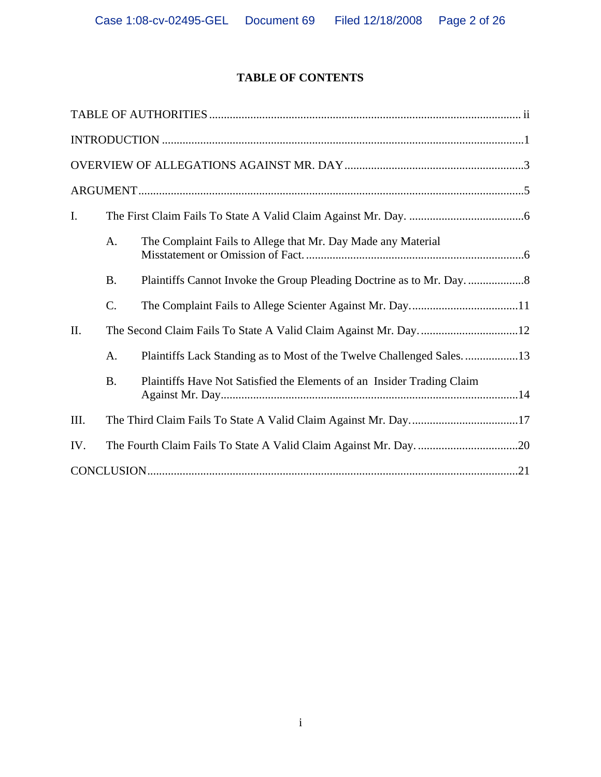# **TABLE OF CONTENTS**

| I.   |                 |                                                                        |
|------|-----------------|------------------------------------------------------------------------|
|      | A <sub>1</sub>  | The Complaint Fails to Allege that Mr. Day Made any Material           |
|      | <b>B.</b>       |                                                                        |
|      | $\mathcal{C}$ . |                                                                        |
| II.  |                 |                                                                        |
|      | A.              |                                                                        |
|      | <b>B.</b>       | Plaintiffs Have Not Satisfied the Elements of an Insider Trading Claim |
| III. |                 |                                                                        |
| IV.  |                 |                                                                        |
|      |                 |                                                                        |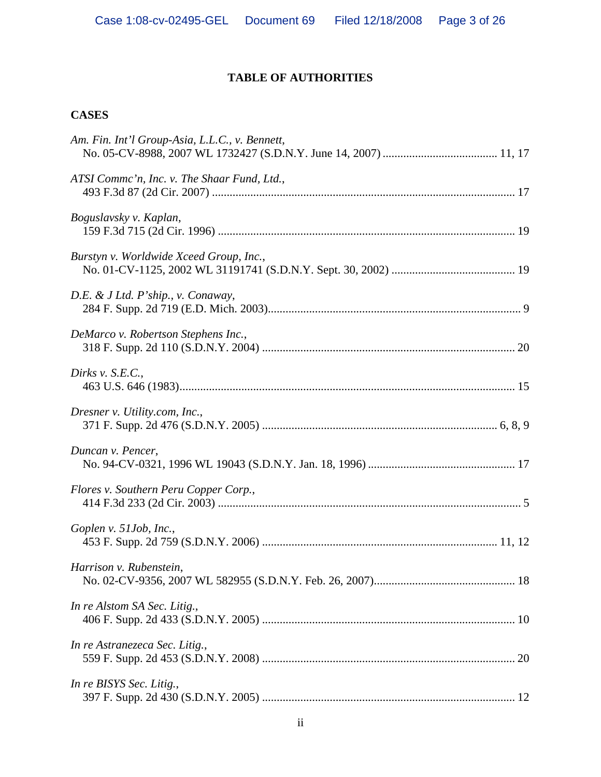# **TABLE OF AUTHORITIES**

## **CASES**

| Am. Fin. Int'l Group-Asia, L.L.C., v. Bennett, |
|------------------------------------------------|
| ATSI Comme'n, Inc. v. The Shaar Fund, Ltd.,    |
| Boguslavsky v. Kaplan,                         |
| Burstyn v. Worldwide Xceed Group, Inc.,        |
| D.E. & J Ltd. P'ship., v. Conaway,             |
| DeMarco v. Robertson Stephens Inc.,            |
| Dirks v. $S.E.C.,$                             |
| Dresner v. Utility.com, Inc.,                  |
| Duncan v. Pencer,                              |
| Flores v. Southern Peru Copper Corp.,          |
| Goplen v. 51Job, Inc.,                         |
| Harrison v. Rubenstein,                        |
| In re Alstom SA Sec. Litig.,                   |
| In re Astranezeca Sec. Litig.,                 |
| In re BISYS Sec. Litig.,                       |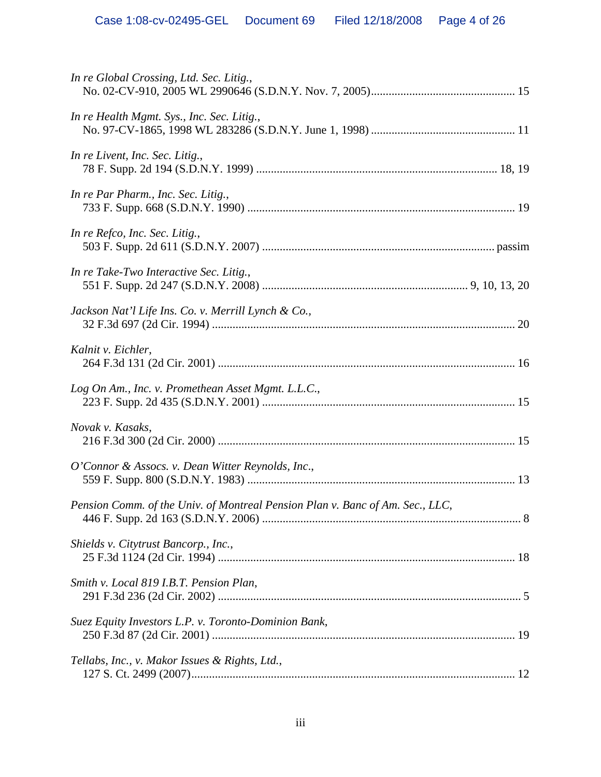| In re Global Crossing, Ltd. Sec. Litig.,                                      |  |
|-------------------------------------------------------------------------------|--|
| In re Health Mgmt. Sys., Inc. Sec. Litig.,                                    |  |
| In re Livent, Inc. Sec. Litig.,                                               |  |
| In re Par Pharm., Inc. Sec. Litig.,                                           |  |
| In re Refco, Inc. Sec. Litig.,                                                |  |
| In re Take-Two Interactive Sec. Litig.,                                       |  |
| Jackson Nat'l Life Ins. Co. v. Merrill Lynch & Co.,                           |  |
| Kalnit v. Eichler,                                                            |  |
| Log On Am., Inc. v. Promethean Asset Mgmt. L.L.C.,                            |  |
| Novak v. Kasaks,                                                              |  |
| O'Connor & Assocs. v. Dean Witter Reynolds, Inc.,                             |  |
| Pension Comm. of the Univ. of Montreal Pension Plan v. Banc of Am. Sec., LLC, |  |
| Shields v. Citytrust Bancorp., Inc.,                                          |  |
| Smith v. Local 819 I.B.T. Pension Plan,                                       |  |
| Suez Equity Investors L.P. v. Toronto-Dominion Bank,                          |  |
| Tellabs, Inc., v. Makor Issues & Rights, Ltd.,                                |  |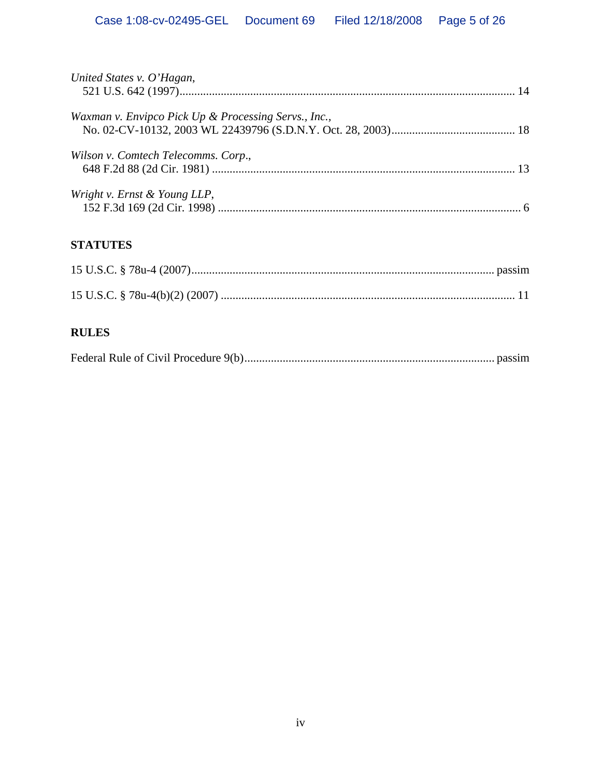| United States v. O'Hagan,                            |  |
|------------------------------------------------------|--|
| Waxman v. Envipco Pick Up & Processing Servs., Inc., |  |
| Wilson v. Comtech Telecomms. Corp.,                  |  |
| Wright v. Ernst & Young LLP,                         |  |

# **STATUTES**

# **RULES**

|--|--|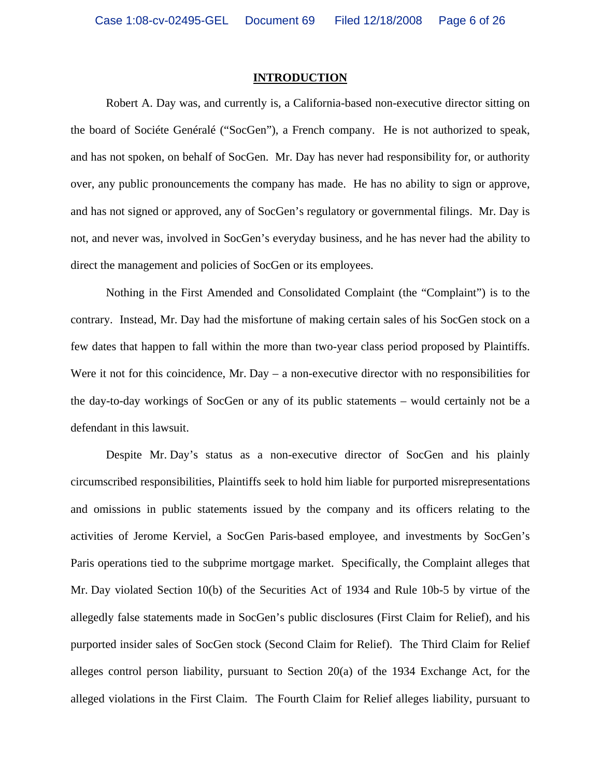#### **INTRODUCTION**

Robert A. Day was, and currently is, a California-based non-executive director sitting on the board of Sociéte Genéralé ("SocGen"), a French company. He is not authorized to speak, and has not spoken, on behalf of SocGen. Mr. Day has never had responsibility for, or authority over, any public pronouncements the company has made. He has no ability to sign or approve, and has not signed or approved, any of SocGen's regulatory or governmental filings. Mr. Day is not, and never was, involved in SocGen's everyday business, and he has never had the ability to direct the management and policies of SocGen or its employees.

Nothing in the First Amended and Consolidated Complaint (the "Complaint") is to the contrary. Instead, Mr. Day had the misfortune of making certain sales of his SocGen stock on a few dates that happen to fall within the more than two-year class period proposed by Plaintiffs. Were it not for this coincidence, Mr. Day – a non-executive director with no responsibilities for the day-to-day workings of SocGen or any of its public statements – would certainly not be a defendant in this lawsuit.

Despite Mr. Day's status as a non-executive director of SocGen and his plainly circumscribed responsibilities, Plaintiffs seek to hold him liable for purported misrepresentations and omissions in public statements issued by the company and its officers relating to the activities of Jerome Kerviel, a SocGen Paris-based employee, and investments by SocGen's Paris operations tied to the subprime mortgage market. Specifically, the Complaint alleges that Mr. Day violated Section 10(b) of the Securities Act of 1934 and Rule 10b-5 by virtue of the allegedly false statements made in SocGen's public disclosures (First Claim for Relief), and his purported insider sales of SocGen stock (Second Claim for Relief). The Third Claim for Relief alleges control person liability, pursuant to Section 20(a) of the 1934 Exchange Act, for the alleged violations in the First Claim. The Fourth Claim for Relief alleges liability, pursuant to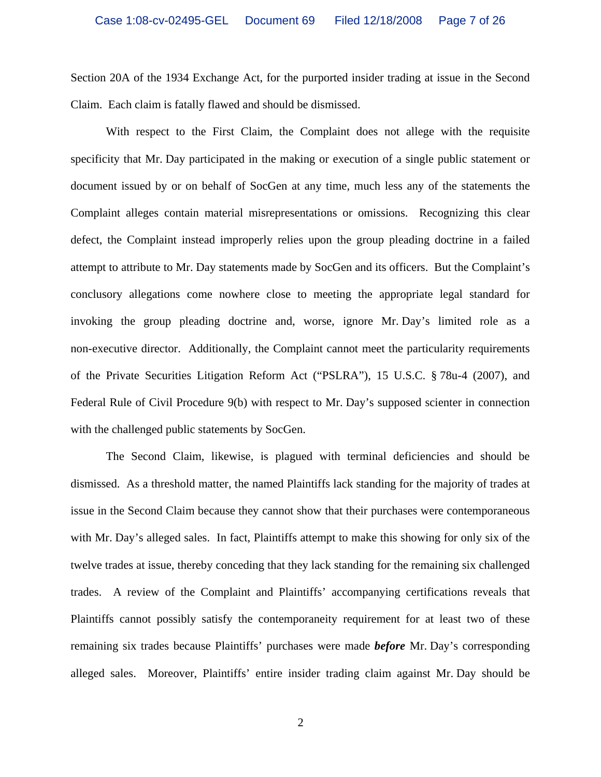Section 20A of the 1934 Exchange Act, for the purported insider trading at issue in the Second Claim. Each claim is fatally flawed and should be dismissed.

With respect to the First Claim, the Complaint does not allege with the requisite specificity that Mr. Day participated in the making or execution of a single public statement or document issued by or on behalf of SocGen at any time, much less any of the statements the Complaint alleges contain material misrepresentations or omissions. Recognizing this clear defect, the Complaint instead improperly relies upon the group pleading doctrine in a failed attempt to attribute to Mr. Day statements made by SocGen and its officers. But the Complaint's conclusory allegations come nowhere close to meeting the appropriate legal standard for invoking the group pleading doctrine and, worse, ignore Mr. Day's limited role as a non-executive director. Additionally, the Complaint cannot meet the particularity requirements of the Private Securities Litigation Reform Act ("PSLRA"), 15 U.S.C. § 78u-4 (2007), and Federal Rule of Civil Procedure 9(b) with respect to Mr. Day's supposed scienter in connection with the challenged public statements by SocGen.

The Second Claim, likewise, is plagued with terminal deficiencies and should be dismissed. As a threshold matter, the named Plaintiffs lack standing for the majority of trades at issue in the Second Claim because they cannot show that their purchases were contemporaneous with Mr. Day's alleged sales. In fact, Plaintiffs attempt to make this showing for only six of the twelve trades at issue, thereby conceding that they lack standing for the remaining six challenged trades. A review of the Complaint and Plaintiffs' accompanying certifications reveals that Plaintiffs cannot possibly satisfy the contemporaneity requirement for at least two of these remaining six trades because Plaintiffs' purchases were made *before* Mr. Day's corresponding alleged sales. Moreover, Plaintiffs' entire insider trading claim against Mr. Day should be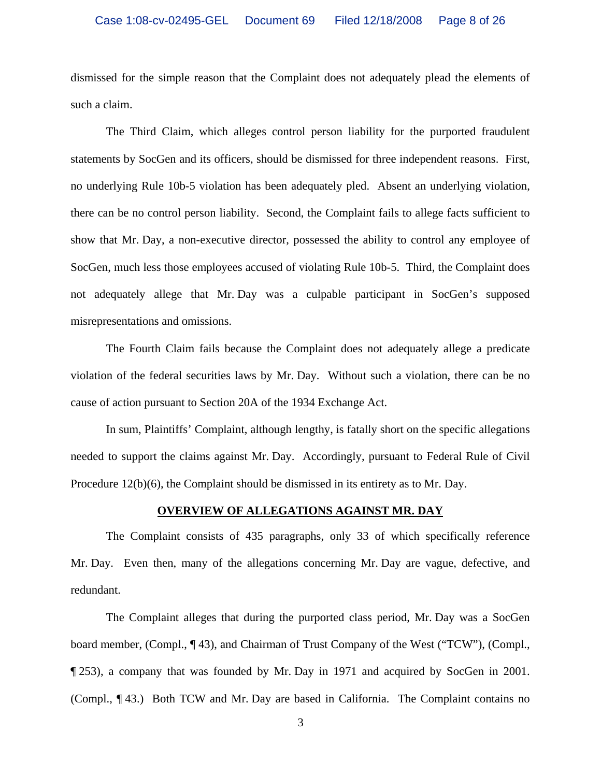dismissed for the simple reason that the Complaint does not adequately plead the elements of such a claim.

The Third Claim, which alleges control person liability for the purported fraudulent statements by SocGen and its officers, should be dismissed for three independent reasons. First, no underlying Rule 10b-5 violation has been adequately pled. Absent an underlying violation, there can be no control person liability. Second, the Complaint fails to allege facts sufficient to show that Mr. Day, a non-executive director, possessed the ability to control any employee of SocGen, much less those employees accused of violating Rule 10b-5. Third, the Complaint does not adequately allege that Mr. Day was a culpable participant in SocGen's supposed misrepresentations and omissions.

The Fourth Claim fails because the Complaint does not adequately allege a predicate violation of the federal securities laws by Mr. Day. Without such a violation, there can be no cause of action pursuant to Section 20A of the 1934 Exchange Act.

In sum, Plaintiffs' Complaint, although lengthy, is fatally short on the specific allegations needed to support the claims against Mr. Day. Accordingly, pursuant to Federal Rule of Civil Procedure 12(b)(6), the Complaint should be dismissed in its entirety as to Mr. Day.

#### **OVERVIEW OF ALLEGATIONS AGAINST MR. DAY**

The Complaint consists of 435 paragraphs, only 33 of which specifically reference Mr. Day. Even then, many of the allegations concerning Mr. Day are vague, defective, and redundant.

The Complaint alleges that during the purported class period, Mr. Day was a SocGen board member, (Compl., ¶ 43), and Chairman of Trust Company of the West ("TCW"), (Compl., ¶ 253), a company that was founded by Mr. Day in 1971 and acquired by SocGen in 2001. (Compl., ¶ 43.) Both TCW and Mr. Day are based in California. The Complaint contains no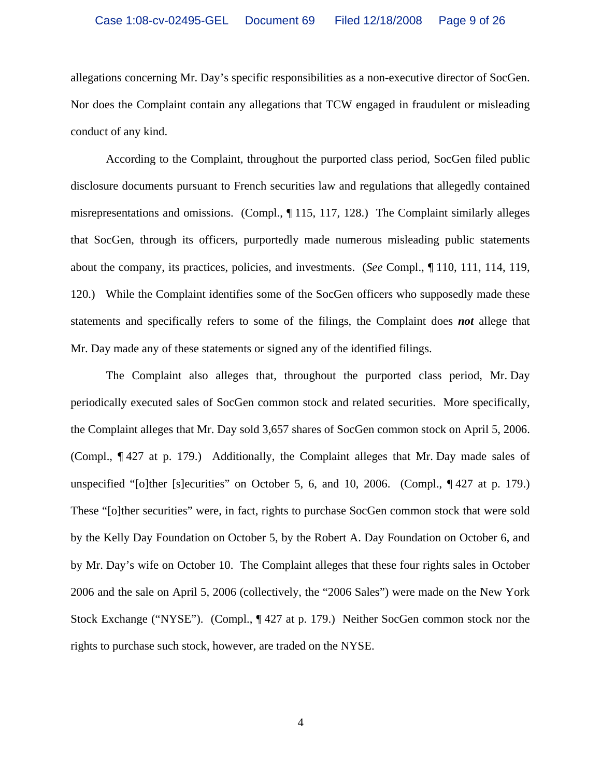allegations concerning Mr. Day's specific responsibilities as a non-executive director of SocGen. Nor does the Complaint contain any allegations that TCW engaged in fraudulent or misleading conduct of any kind.

According to the Complaint, throughout the purported class period, SocGen filed public disclosure documents pursuant to French securities law and regulations that allegedly contained misrepresentations and omissions. (Compl., ¶ 115, 117, 128.) The Complaint similarly alleges that SocGen, through its officers, purportedly made numerous misleading public statements about the company, its practices, policies, and investments. (*See* Compl., ¶ 110, 111, 114, 119, 120.) While the Complaint identifies some of the SocGen officers who supposedly made these statements and specifically refers to some of the filings, the Complaint does *not* allege that Mr. Day made any of these statements or signed any of the identified filings.

The Complaint also alleges that, throughout the purported class period, Mr. Day periodically executed sales of SocGen common stock and related securities. More specifically, the Complaint alleges that Mr. Day sold 3,657 shares of SocGen common stock on April 5, 2006. (Compl., ¶ 427 at p. 179.) Additionally, the Complaint alleges that Mr. Day made sales of unspecified "[o]ther [s]ecurities" on October 5, 6, and 10, 2006. (Compl., ¶ 427 at p. 179.) These "[o]ther securities" were, in fact, rights to purchase SocGen common stock that were sold by the Kelly Day Foundation on October 5, by the Robert A. Day Foundation on October 6, and by Mr. Day's wife on October 10. The Complaint alleges that these four rights sales in October 2006 and the sale on April 5, 2006 (collectively, the "2006 Sales") were made on the New York Stock Exchange ("NYSE"). (Compl., ¶ 427 at p. 179.) Neither SocGen common stock nor the rights to purchase such stock, however, are traded on the NYSE.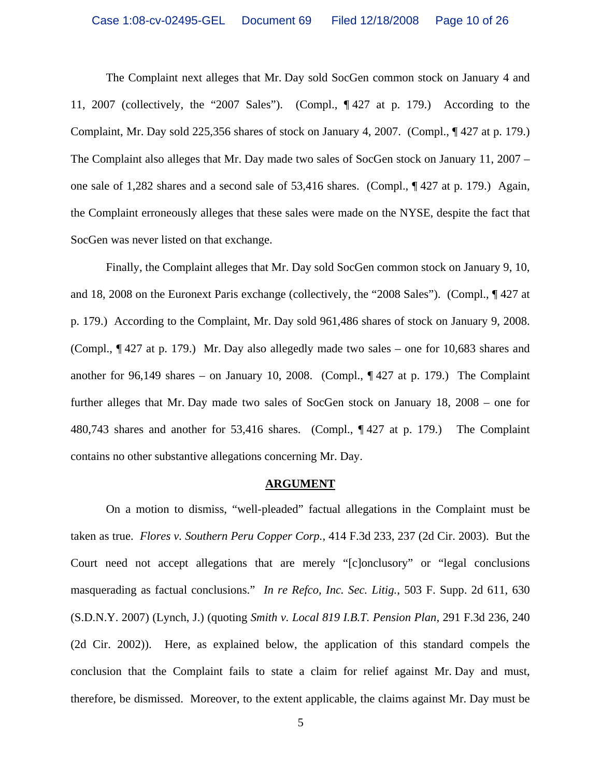The Complaint next alleges that Mr. Day sold SocGen common stock on January 4 and 11, 2007 (collectively, the "2007 Sales"). (Compl., ¶ 427 at p. 179.) According to the Complaint, Mr. Day sold 225,356 shares of stock on January 4, 2007. (Compl., ¶ 427 at p. 179.) The Complaint also alleges that Mr. Day made two sales of SocGen stock on January 11, 2007 – one sale of 1,282 shares and a second sale of 53,416 shares. (Compl., ¶ 427 at p. 179.) Again, the Complaint erroneously alleges that these sales were made on the NYSE, despite the fact that SocGen was never listed on that exchange.

Finally, the Complaint alleges that Mr. Day sold SocGen common stock on January 9, 10, and 18, 2008 on the Euronext Paris exchange (collectively, the "2008 Sales"). (Compl., ¶ 427 at p. 179.) According to the Complaint, Mr. Day sold 961,486 shares of stock on January 9, 2008. (Compl., ¶ 427 at p. 179.) Mr. Day also allegedly made two sales – one for 10,683 shares and another for 96,149 shares – on January 10, 2008. (Compl.,  $\P$  427 at p. 179.) The Complaint further alleges that Mr. Day made two sales of SocGen stock on January 18, 2008 – one for 480,743 shares and another for 53,416 shares. (Compl., ¶ 427 at p. 179.) The Complaint contains no other substantive allegations concerning Mr. Day.

#### **ARGUMENT**

On a motion to dismiss, "well-pleaded" factual allegations in the Complaint must be taken as true. *Flores v. Southern Peru Copper Corp.*, 414 F.3d 233, 237 (2d Cir. 2003). But the Court need not accept allegations that are merely "[c]onclusory" or "legal conclusions masquerading as factual conclusions." *In re Refco, Inc. Sec. Litig.*, 503 F. Supp. 2d 611, 630 (S.D.N.Y. 2007) (Lynch, J.) (quoting *Smith v. Local 819 I.B.T. Pension Plan*, 291 F.3d 236, 240 (2d Cir. 2002)). Here, as explained below, the application of this standard compels the conclusion that the Complaint fails to state a claim for relief against Mr. Day and must, therefore, be dismissed. Moreover, to the extent applicable, the claims against Mr. Day must be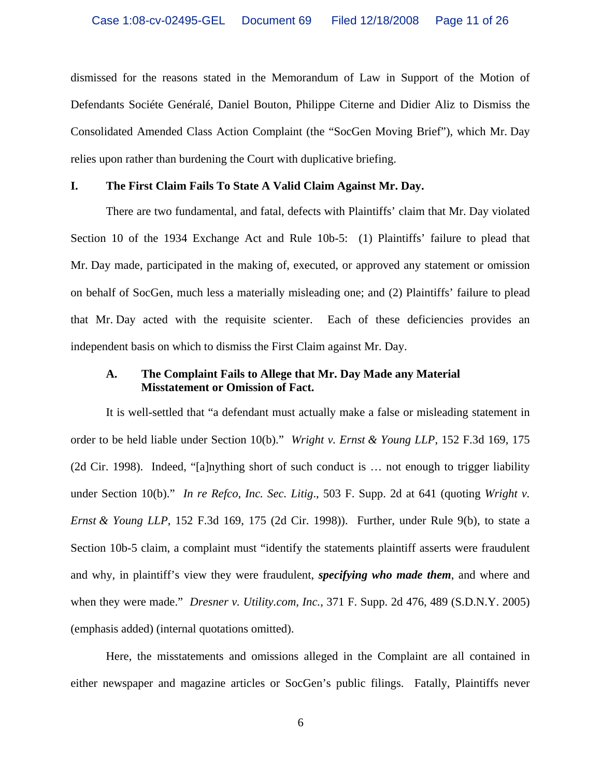dismissed for the reasons stated in the Memorandum of Law in Support of the Motion of Defendants Sociéte Genéralé, Daniel Bouton, Philippe Citerne and Didier Aliz to Dismiss the Consolidated Amended Class Action Complaint (the "SocGen Moving Brief"), which Mr. Day relies upon rather than burdening the Court with duplicative briefing.

## **I. The First Claim Fails To State A Valid Claim Against Mr. Day.**

There are two fundamental, and fatal, defects with Plaintiffs' claim that Mr. Day violated Section 10 of the 1934 Exchange Act and Rule 10b-5: (1) Plaintiffs' failure to plead that Mr. Day made, participated in the making of, executed, or approved any statement or omission on behalf of SocGen, much less a materially misleading one; and (2) Plaintiffs' failure to plead that Mr. Day acted with the requisite scienter. Each of these deficiencies provides an independent basis on which to dismiss the First Claim against Mr. Day.

## **A. The Complaint Fails to Allege that Mr. Day Made any Material Misstatement or Omission of Fact.**

It is well-settled that "a defendant must actually make a false or misleading statement in order to be held liable under Section 10(b)." *Wright v. Ernst & Young LLP*, 152 F.3d 169, 175 (2d Cir. 1998). Indeed, "[a]nything short of such conduct is … not enough to trigger liability under Section 10(b)." *In re Refco, Inc. Sec. Litig.*, 503 F. Supp. 2d at 641 (quoting *Wright v. Ernst & Young LLP*, 152 F.3d 169, 175 (2d Cir. 1998)). Further, under Rule 9(b), to state a Section 10b-5 claim, a complaint must "identify the statements plaintiff asserts were fraudulent and why, in plaintiff's view they were fraudulent, *specifying who made them*, and where and when they were made." *Dresner v. Utility.com, Inc.*, 371 F. Supp. 2d 476, 489 (S.D.N.Y. 2005) (emphasis added) (internal quotations omitted).

Here, the misstatements and omissions alleged in the Complaint are all contained in either newspaper and magazine articles or SocGen's public filings. Fatally, Plaintiffs never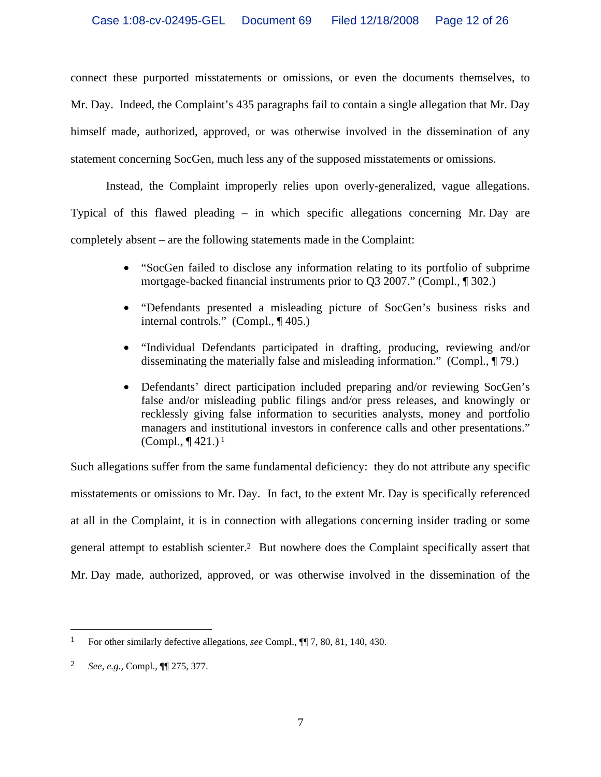connect these purported misstatements or omissions, or even the documents themselves, to Mr. Day. Indeed, the Complaint's 435 paragraphs fail to contain a single allegation that Mr. Day himself made, authorized, approved, or was otherwise involved in the dissemination of any statement concerning SocGen, much less any of the supposed misstatements or omissions.

Instead, the Complaint improperly relies upon overly-generalized, vague allegations. Typical of this flawed pleading – in which specific allegations concerning Mr. Day are completely absent – are the following statements made in the Complaint:

- "SocGen failed to disclose any information relating to its portfolio of subprime mortgage-backed financial instruments prior to Q3 2007." (Compl., ¶ 302.)
- "Defendants presented a misleading picture of SocGen's business risks and internal controls." (Compl., ¶ 405.)
- "Individual Defendants participated in drafting, producing, reviewing and/or disseminating the materially false and misleading information." (Compl., ¶ 79.)
- Defendants' direct participation included preparing and/or reviewing SocGen's false and/or misleading public filings and/or press releases, and knowingly or recklessly giving false information to securities analysts, money and portfolio managers and institutional investors in conference calls and other presentations." (Compl.,  $\P$  421.)<sup>1</sup>

Such allegations suffer from the same fundamental deficiency: they do not attribute any specific misstatements or omissions to Mr. Day. In fact, to the extent Mr. Day is specifically referenced at all in the Complaint, it is in connection with allegations concerning insider trading or some general attempt to establish scienter.2 But nowhere does the Complaint specifically assert that Mr. Day made, authorized, approved, or was otherwise involved in the dissemination of the

 $\overline{a}$ 

<sup>1</sup> For other similarly defective allegations, *see* Compl., ¶¶ 7, 80, 81, 140, 430.

<sup>2</sup> *See, e.g.,* Compl., ¶¶ 275, 377.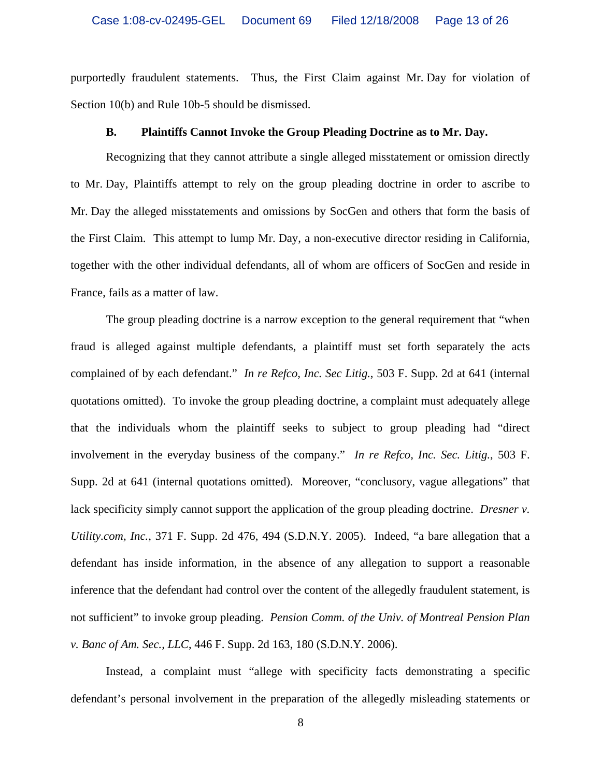purportedly fraudulent statements. Thus, the First Claim against Mr. Day for violation of Section 10(b) and Rule 10b-5 should be dismissed.

#### **B. Plaintiffs Cannot Invoke the Group Pleading Doctrine as to Mr. Day.**

Recognizing that they cannot attribute a single alleged misstatement or omission directly to Mr. Day, Plaintiffs attempt to rely on the group pleading doctrine in order to ascribe to Mr. Day the alleged misstatements and omissions by SocGen and others that form the basis of the First Claim. This attempt to lump Mr. Day, a non-executive director residing in California, together with the other individual defendants, all of whom are officers of SocGen and reside in France, fails as a matter of law.

The group pleading doctrine is a narrow exception to the general requirement that "when fraud is alleged against multiple defendants, a plaintiff must set forth separately the acts complained of by each defendant." *In re Refco, Inc. Sec Litig.*, 503 F. Supp. 2d at 641 (internal quotations omitted). To invoke the group pleading doctrine, a complaint must adequately allege that the individuals whom the plaintiff seeks to subject to group pleading had "direct involvement in the everyday business of the company." *In re Refco, Inc. Sec. Litig.*, 503 F. Supp. 2d at 641 (internal quotations omitted). Moreover, "conclusory, vague allegations" that lack specificity simply cannot support the application of the group pleading doctrine. *Dresner v. Utility.com, Inc.*, 371 F. Supp. 2d 476, 494 (S.D.N.Y. 2005). Indeed, "a bare allegation that a defendant has inside information, in the absence of any allegation to support a reasonable inference that the defendant had control over the content of the allegedly fraudulent statement, is not sufficient" to invoke group pleading. *Pension Comm. of the Univ. of Montreal Pension Plan v. Banc of Am. Sec., LLC*, 446 F. Supp. 2d 163, 180 (S.D.N.Y. 2006).

Instead, a complaint must "allege with specificity facts demonstrating a specific defendant's personal involvement in the preparation of the allegedly misleading statements or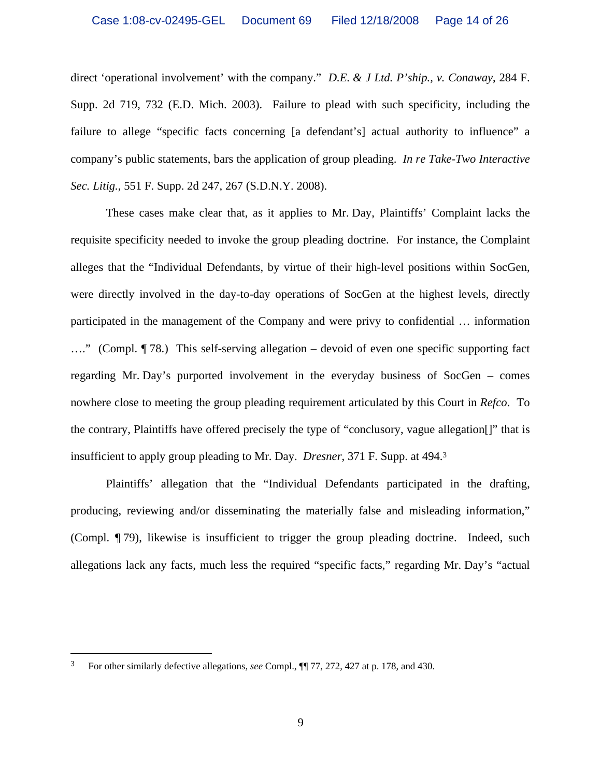direct 'operational involvement' with the company." *D.E. & J Ltd. P'ship., v. Conaway*, 284 F. Supp. 2d 719, 732 (E.D. Mich. 2003). Failure to plead with such specificity, including the failure to allege "specific facts concerning [a defendant's] actual authority to influence" a company's public statements, bars the application of group pleading. *In re Take-Two Interactive Sec. Litig.*, 551 F. Supp. 2d 247, 267 (S.D.N.Y. 2008).

These cases make clear that, as it applies to Mr. Day, Plaintiffs' Complaint lacks the requisite specificity needed to invoke the group pleading doctrine. For instance, the Complaint alleges that the "Individual Defendants, by virtue of their high-level positions within SocGen, were directly involved in the day-to-day operations of SocGen at the highest levels, directly participated in the management of the Company and were privy to confidential … information …." (Compl. ¶ 78.) This self-serving allegation – devoid of even one specific supporting fact regarding Mr. Day's purported involvement in the everyday business of SocGen – comes nowhere close to meeting the group pleading requirement articulated by this Court in *Refco*. To the contrary, Plaintiffs have offered precisely the type of "conclusory, vague allegation[]" that is insufficient to apply group pleading to Mr. Day. *Dresner*, 371 F. Supp. at 494.3

Plaintiffs' allegation that the "Individual Defendants participated in the drafting, producing, reviewing and/or disseminating the materially false and misleading information," (Compl. ¶ 79), likewise is insufficient to trigger the group pleading doctrine. Indeed, such allegations lack any facts, much less the required "specific facts," regarding Mr. Day's "actual

1

<sup>3</sup> For other similarly defective allegations, *see* Compl., ¶¶ 77, 272, 427 at p. 178, and 430.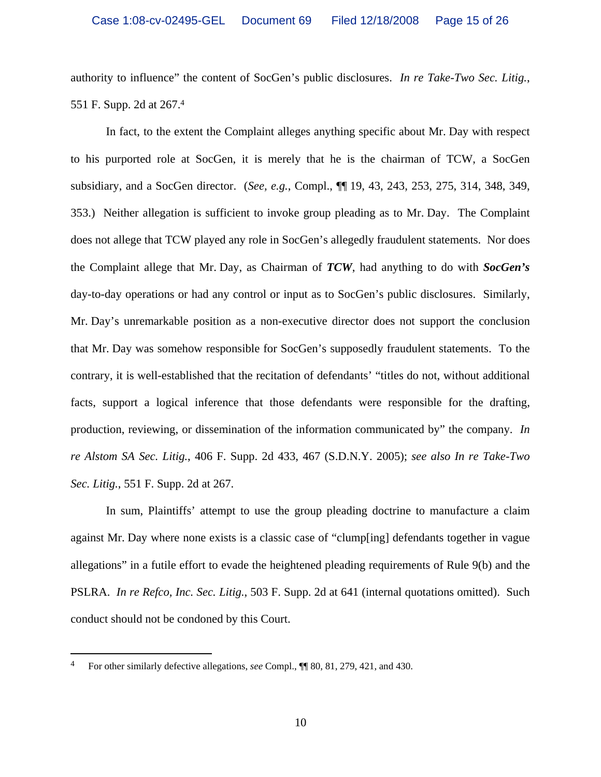authority to influence" the content of SocGen's public disclosures. *In re Take-Two Sec. Litig.*, 551 F. Supp. 2d at 267.4

In fact, to the extent the Complaint alleges anything specific about Mr. Day with respect to his purported role at SocGen, it is merely that he is the chairman of TCW, a SocGen subsidiary, and a SocGen director. (*See, e.g.*, Compl., ¶¶ 19, 43, 243, 253, 275, 314, 348, 349, 353.) Neither allegation is sufficient to invoke group pleading as to Mr. Day. The Complaint does not allege that TCW played any role in SocGen's allegedly fraudulent statements. Nor does the Complaint allege that Mr. Day, as Chairman of *TCW*, had anything to do with *SocGen's* day-to-day operations or had any control or input as to SocGen's public disclosures. Similarly, Mr. Day's unremarkable position as a non-executive director does not support the conclusion that Mr. Day was somehow responsible for SocGen's supposedly fraudulent statements. To the contrary, it is well-established that the recitation of defendants' "titles do not, without additional facts, support a logical inference that those defendants were responsible for the drafting, production, reviewing, or dissemination of the information communicated by" the company. *In re Alstom SA Sec. Litig.*, 406 F. Supp. 2d 433, 467 (S.D.N.Y. 2005); *see also In re Take-Two Sec. Litig.*, 551 F. Supp. 2d at 267.

In sum, Plaintiffs' attempt to use the group pleading doctrine to manufacture a claim against Mr. Day where none exists is a classic case of "clump[ing] defendants together in vague allegations" in a futile effort to evade the heightened pleading requirements of Rule 9(b) and the PSLRA. *In re Refco, Inc. Sec. Litig.*, 503 F. Supp. 2d at 641 (internal quotations omitted). Such conduct should not be condoned by this Court.

 $\overline{a}$ 

<sup>4</sup> For other similarly defective allegations, *see* Compl., ¶¶ 80, 81, 279, 421, and 430.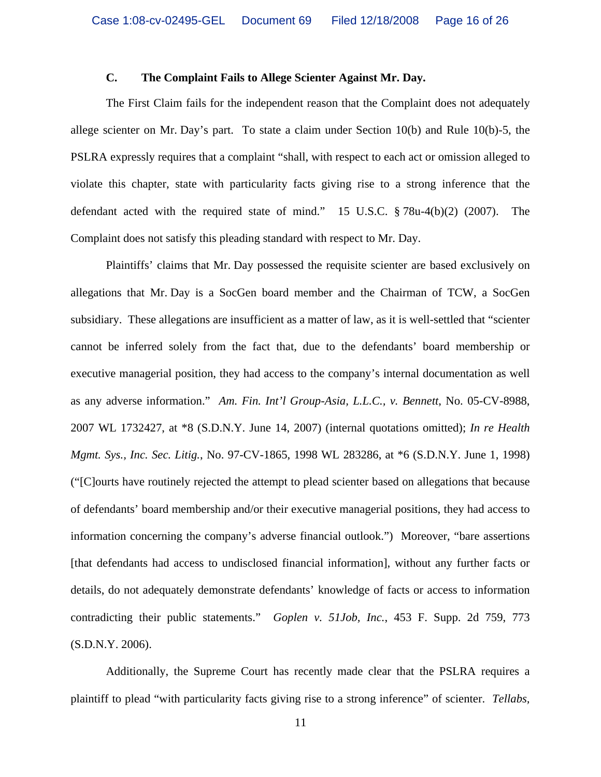## **C. The Complaint Fails to Allege Scienter Against Mr. Day.**

The First Claim fails for the independent reason that the Complaint does not adequately allege scienter on Mr. Day's part. To state a claim under Section 10(b) and Rule 10(b)-5, the PSLRA expressly requires that a complaint "shall, with respect to each act or omission alleged to violate this chapter, state with particularity facts giving rise to a strong inference that the defendant acted with the required state of mind." 15 U.S.C. § 78u-4(b)(2) (2007). The Complaint does not satisfy this pleading standard with respect to Mr. Day.

Plaintiffs' claims that Mr. Day possessed the requisite scienter are based exclusively on allegations that Mr. Day is a SocGen board member and the Chairman of TCW, a SocGen subsidiary. These allegations are insufficient as a matter of law, as it is well-settled that "scienter cannot be inferred solely from the fact that, due to the defendants' board membership or executive managerial position, they had access to the company's internal documentation as well as any adverse information." *Am. Fin. Int'l Group-Asia, L.L.C., v. Bennett*, No. 05-CV-8988, 2007 WL 1732427, at \*8 (S.D.N.Y. June 14, 2007) (internal quotations omitted); *In re Health Mgmt. Sys., Inc. Sec. Litig.*, No. 97-CV-1865, 1998 WL 283286, at \*6 (S.D.N.Y. June 1, 1998) ("[C]ourts have routinely rejected the attempt to plead scienter based on allegations that because of defendants' board membership and/or their executive managerial positions, they had access to information concerning the company's adverse financial outlook.") Moreover, "bare assertions [that defendants had access to undisclosed financial information], without any further facts or details, do not adequately demonstrate defendants' knowledge of facts or access to information contradicting their public statements." *Goplen v. 51Job, Inc.*, 453 F. Supp. 2d 759, 773 (S.D.N.Y. 2006).

Additionally, the Supreme Court has recently made clear that the PSLRA requires a plaintiff to plead "with particularity facts giving rise to a strong inference" of scienter. *Tellabs,*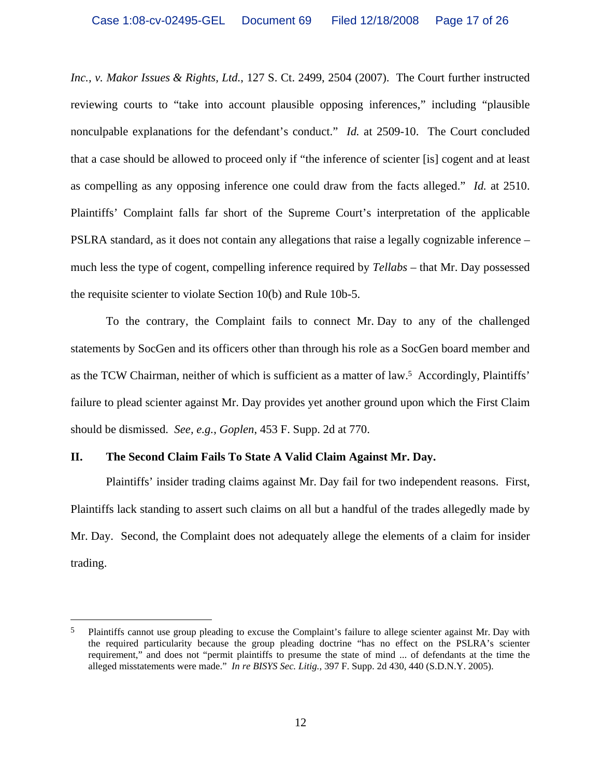*Inc., v. Makor Issues & Rights, Ltd.*, 127 S. Ct. 2499, 2504 (2007). The Court further instructed reviewing courts to "take into account plausible opposing inferences," including "plausible nonculpable explanations for the defendant's conduct." *Id.* at 2509-10. The Court concluded that a case should be allowed to proceed only if "the inference of scienter [is] cogent and at least as compelling as any opposing inference one could draw from the facts alleged." *Id.* at 2510. Plaintiffs' Complaint falls far short of the Supreme Court's interpretation of the applicable PSLRA standard, as it does not contain any allegations that raise a legally cognizable inference – much less the type of cogent, compelling inference required by *Tellabs* – that Mr. Day possessed the requisite scienter to violate Section 10(b) and Rule 10b-5.

To the contrary, the Complaint fails to connect Mr. Day to any of the challenged statements by SocGen and its officers other than through his role as a SocGen board member and as the TCW Chairman, neither of which is sufficient as a matter of law.5 Accordingly, Plaintiffs' failure to plead scienter against Mr. Day provides yet another ground upon which the First Claim should be dismissed. *See, e.g.*, *Goplen*, 453 F. Supp. 2d at 770.

## **II. The Second Claim Fails To State A Valid Claim Against Mr. Day.**

 $\overline{a}$ 

Plaintiffs' insider trading claims against Mr. Day fail for two independent reasons. First, Plaintiffs lack standing to assert such claims on all but a handful of the trades allegedly made by Mr. Day. Second, the Complaint does not adequately allege the elements of a claim for insider trading.

<sup>&</sup>lt;sup>5</sup> Plaintiffs cannot use group pleading to excuse the Complaint's failure to allege scienter against Mr. Day with the required particularity because the group pleading doctrine "has no effect on the PSLRA's scienter requirement," and does not "permit plaintiffs to presume the state of mind ... of defendants at the time the alleged misstatements were made." *In re BISYS Sec. Litig.*, 397 F. Supp. 2d 430, 440 (S.D.N.Y. 2005).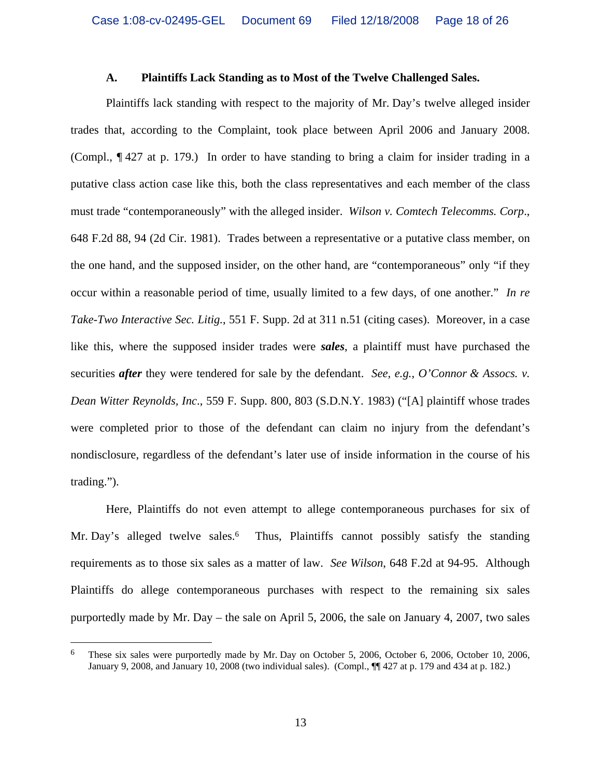#### **A. Plaintiffs Lack Standing as to Most of the Twelve Challenged Sales.**

Plaintiffs lack standing with respect to the majority of Mr. Day's twelve alleged insider trades that, according to the Complaint, took place between April 2006 and January 2008. (Compl., ¶ 427 at p. 179.) In order to have standing to bring a claim for insider trading in a putative class action case like this, both the class representatives and each member of the class must trade "contemporaneously" with the alleged insider. *Wilson v. Comtech Telecomms. Corp*., 648 F.2d 88, 94 (2d Cir. 1981). Trades between a representative or a putative class member, on the one hand, and the supposed insider, on the other hand, are "contemporaneous" only "if they occur within a reasonable period of time, usually limited to a few days, of one another." *In re Take-Two Interactive Sec. Litig.*, 551 F. Supp. 2d at 311 n.51 (citing cases). Moreover, in a case like this, where the supposed insider trades were *sales*, a plaintiff must have purchased the securities *after* they were tendered for sale by the defendant. *See, e.g.*, *O'Connor & Assocs. v. Dean Witter Reynolds, Inc*., 559 F. Supp. 800, 803 (S.D.N.Y. 1983) ("[A] plaintiff whose trades were completed prior to those of the defendant can claim no injury from the defendant's nondisclosure, regardless of the defendant's later use of inside information in the course of his trading.").

Here, Plaintiffs do not even attempt to allege contemporaneous purchases for six of Mr. Day's alleged twelve sales.<sup>6</sup> Thus, Plaintiffs cannot possibly satisfy the standing requirements as to those six sales as a matter of law. *See Wilson*, 648 F.2d at 94-95. Although Plaintiffs do allege contemporaneous purchases with respect to the remaining six sales purportedly made by Mr. Day – the sale on April 5, 2006, the sale on January 4, 2007, two sales

 $\overline{a}$ 

<sup>6</sup> These six sales were purportedly made by Mr. Day on October 5, 2006, October 6, 2006, October 10, 2006, January 9, 2008, and January 10, 2008 (two individual sales). (Compl., ¶¶ 427 at p. 179 and 434 at p. 182.)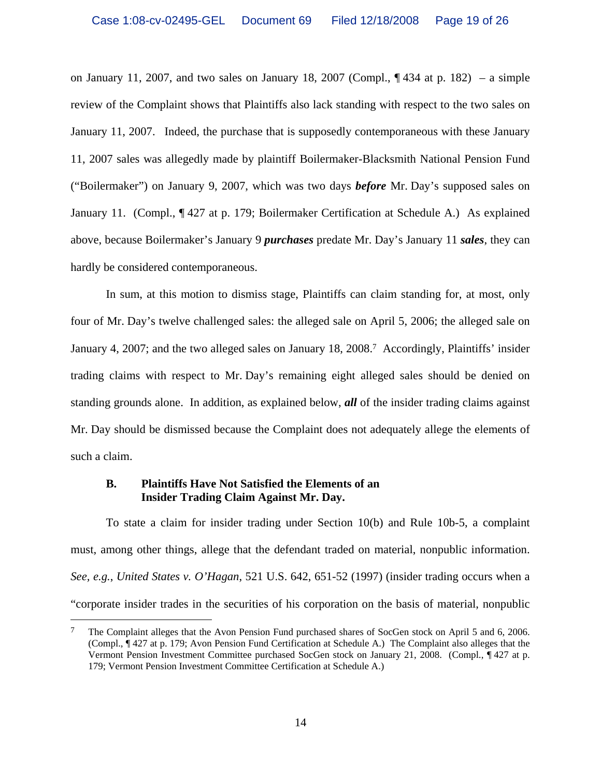on January 11, 2007, and two sales on January 18, 2007 (Compl.,  $\P$  434 at p. 182) – a simple review of the Complaint shows that Plaintiffs also lack standing with respect to the two sales on January 11, 2007. Indeed, the purchase that is supposedly contemporaneous with these January 11, 2007 sales was allegedly made by plaintiff Boilermaker-Blacksmith National Pension Fund ("Boilermaker") on January 9, 2007, which was two days *before* Mr. Day's supposed sales on January 11. (Compl., ¶ 427 at p. 179; Boilermaker Certification at Schedule A.) As explained above, because Boilermaker's January 9 *purchases* predate Mr. Day's January 11 *sales*, they can hardly be considered contemporaneous.

In sum, at this motion to dismiss stage, Plaintiffs can claim standing for, at most, only four of Mr. Day's twelve challenged sales: the alleged sale on April 5, 2006; the alleged sale on January 4, 2007; and the two alleged sales on January 18, 2008.7 Accordingly, Plaintiffs' insider trading claims with respect to Mr. Day's remaining eight alleged sales should be denied on standing grounds alone. In addition, as explained below, *all* of the insider trading claims against Mr. Day should be dismissed because the Complaint does not adequately allege the elements of such a claim.

## **B. Plaintiffs Have Not Satisfied the Elements of an Insider Trading Claim Against Mr. Day.**

 $\overline{a}$ 

To state a claim for insider trading under Section 10(b) and Rule 10b-5, a complaint must, among other things, allege that the defendant traded on material, nonpublic information. *See, e.g.*, *United States v. O'Hagan*, 521 U.S. 642, 651-52 (1997) (insider trading occurs when a "corporate insider trades in the securities of his corporation on the basis of material, nonpublic

<sup>&</sup>lt;sup>7</sup> The Complaint alleges that the Avon Pension Fund purchased shares of SocGen stock on April 5 and 6, 2006. (Compl., ¶ 427 at p. 179; Avon Pension Fund Certification at Schedule A.) The Complaint also alleges that the Vermont Pension Investment Committee purchased SocGen stock on January 21, 2008. (Compl., ¶ 427 at p. 179; Vermont Pension Investment Committee Certification at Schedule A.)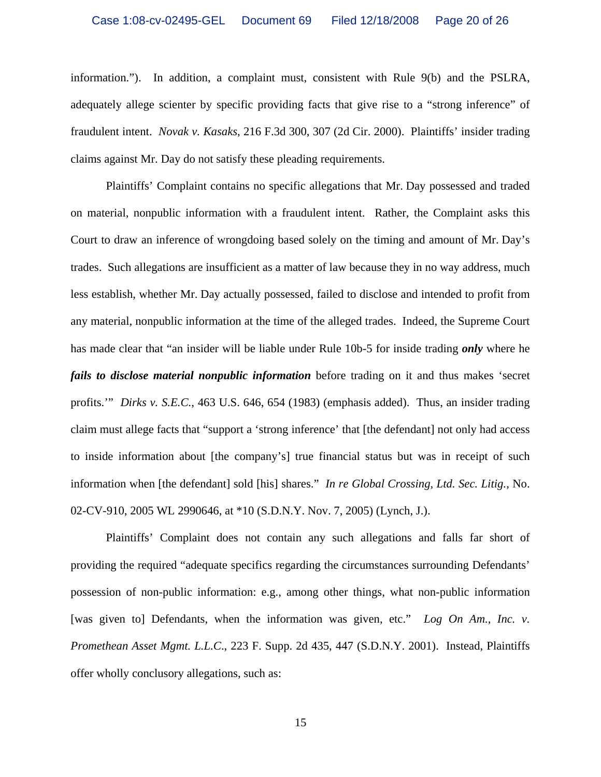information."). In addition, a complaint must, consistent with Rule 9(b) and the PSLRA, adequately allege scienter by specific providing facts that give rise to a "strong inference" of fraudulent intent. *Novak v. Kasaks*, 216 F.3d 300, 307 (2d Cir. 2000). Plaintiffs' insider trading claims against Mr. Day do not satisfy these pleading requirements.

Plaintiffs' Complaint contains no specific allegations that Mr. Day possessed and traded on material, nonpublic information with a fraudulent intent. Rather, the Complaint asks this Court to draw an inference of wrongdoing based solely on the timing and amount of Mr. Day's trades. Such allegations are insufficient as a matter of law because they in no way address, much less establish, whether Mr. Day actually possessed, failed to disclose and intended to profit from any material, nonpublic information at the time of the alleged trades. Indeed, the Supreme Court has made clear that "an insider will be liable under Rule 10b-5 for inside trading *only* where he *fails to disclose material nonpublic information* before trading on it and thus makes 'secret profits.'" *Dirks v. S.E.C.*, 463 U.S. 646, 654 (1983) (emphasis added). Thus, an insider trading claim must allege facts that "support a 'strong inference' that [the defendant] not only had access to inside information about [the company's] true financial status but was in receipt of such information when [the defendant] sold [his] shares." *In re Global Crossing, Ltd. Sec. Litig.*, No. 02-CV-910, 2005 WL 2990646, at \*10 (S.D.N.Y. Nov. 7, 2005) (Lynch, J.).

Plaintiffs' Complaint does not contain any such allegations and falls far short of providing the required "adequate specifics regarding the circumstances surrounding Defendants' possession of non-public information: e.g., among other things, what non-public information [was given to] Defendants, when the information was given, etc." *Log On Am., Inc. v. Promethean Asset Mgmt. L.L.C*., 223 F. Supp. 2d 435, 447 (S.D.N.Y. 2001). Instead, Plaintiffs offer wholly conclusory allegations, such as: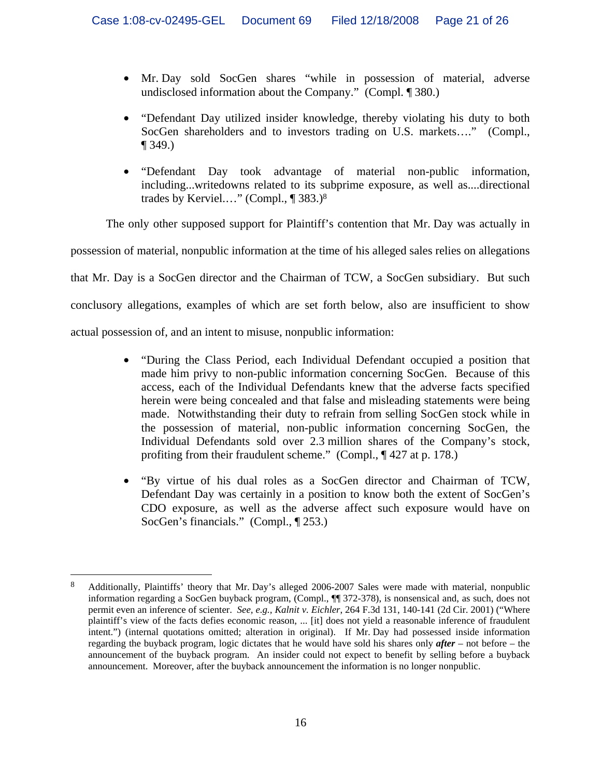- Mr. Day sold SocGen shares "while in possession of material, adverse undisclosed information about the Company." (Compl. ¶ 380.)
- "Defendant Day utilized insider knowledge, thereby violating his duty to both SocGen shareholders and to investors trading on U.S. markets…." (Compl., ¶ 349.)
- "Defendant Day took advantage of material non-public information, including...writedowns related to its subprime exposure, as well as....directional trades by Kerviel.…" (Compl., ¶ 383.)8

The only other supposed support for Plaintiff's contention that Mr. Day was actually in

possession of material, nonpublic information at the time of his alleged sales relies on allegations that Mr. Day is a SocGen director and the Chairman of TCW, a SocGen subsidiary. But such conclusory allegations, examples of which are set forth below, also are insufficient to show actual possession of, and an intent to misuse, nonpublic information:

- "During the Class Period, each Individual Defendant occupied a position that made him privy to non-public information concerning SocGen. Because of this access, each of the Individual Defendants knew that the adverse facts specified herein were being concealed and that false and misleading statements were being made. Notwithstanding their duty to refrain from selling SocGen stock while in the possession of material, non-public information concerning SocGen, the Individual Defendants sold over 2.3 million shares of the Company's stock, profiting from their fraudulent scheme." (Compl., ¶ 427 at p. 178.)
- "By virtue of his dual roles as a SocGen director and Chairman of TCW, Defendant Day was certainly in a position to know both the extent of SocGen's CDO exposure, as well as the adverse affect such exposure would have on SocGen's financials." (Compl., 1 253.)

 $\overline{a}$ 8 Additionally, Plaintiffs' theory that Mr. Day's alleged 2006-2007 Sales were made with material, nonpublic information regarding a SocGen buyback program, (Compl., ¶¶ 372-378), is nonsensical and, as such, does not permit even an inference of scienter. *See, e.g., Kalnit v. Eichler*, 264 F.3d 131, 140-141 (2d Cir. 2001) ("Where plaintiff's view of the facts defies economic reason, ... [it] does not yield a reasonable inference of fraudulent intent.") (internal quotations omitted; alteration in original). If Mr. Day had possessed inside information regarding the buyback program, logic dictates that he would have sold his shares only *after* – not before – the announcement of the buyback program. An insider could not expect to benefit by selling before a buyback announcement. Moreover, after the buyback announcement the information is no longer nonpublic.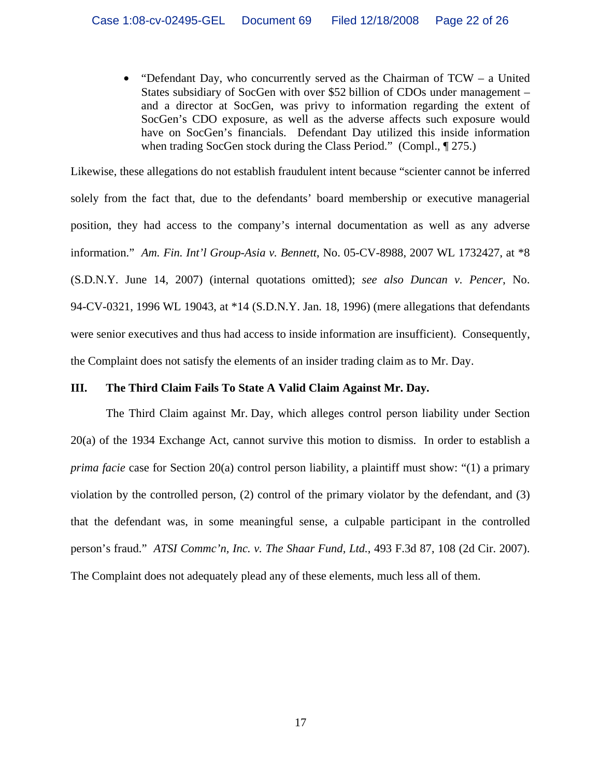• "Defendant Day, who concurrently served as the Chairman of  $TCW - a$  United States subsidiary of SocGen with over \$52 billion of CDOs under management – and a director at SocGen, was privy to information regarding the extent of SocGen's CDO exposure, as well as the adverse affects such exposure would have on SocGen's financials. Defendant Day utilized this inside information when trading SocGen stock during the Class Period." (Compl., 1975.)

Likewise, these allegations do not establish fraudulent intent because "scienter cannot be inferred solely from the fact that, due to the defendants' board membership or executive managerial position, they had access to the company's internal documentation as well as any adverse information." *Am. Fin. Int'l Group-Asia v. Bennett*, No. 05-CV-8988, 2007 WL 1732427, at \*8 (S.D.N.Y. June 14, 2007) (internal quotations omitted); *see also Duncan v. Pencer*, No. 94-CV-0321, 1996 WL 19043, at \*14 (S.D.N.Y. Jan. 18, 1996) (mere allegations that defendants were senior executives and thus had access to inside information are insufficient). Consequently, the Complaint does not satisfy the elements of an insider trading claim as to Mr. Day.

## **III. The Third Claim Fails To State A Valid Claim Against Mr. Day.**

The Third Claim against Mr. Day, which alleges control person liability under Section 20(a) of the 1934 Exchange Act, cannot survive this motion to dismiss. In order to establish a *prima facie* case for Section 20(a) control person liability, a plaintiff must show: "(1) a primary violation by the controlled person, (2) control of the primary violator by the defendant, and (3) that the defendant was, in some meaningful sense, a culpable participant in the controlled person's fraud." *ATSI Commc'n, Inc. v. The Shaar Fund, Ltd.*, 493 F.3d 87, 108 (2d Cir. 2007). The Complaint does not adequately plead any of these elements, much less all of them.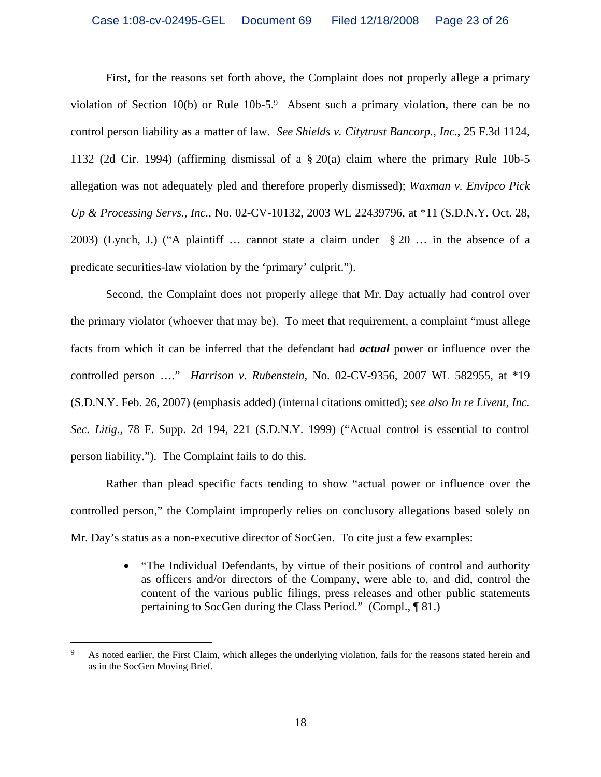First, for the reasons set forth above, the Complaint does not properly allege a primary violation of Section 10(b) or Rule 10b-5.9 Absent such a primary violation, there can be no control person liability as a matter of law. *See Shields v. Citytrust Bancorp., Inc.*, 25 F.3d 1124, 1132 (2d Cir. 1994) (affirming dismissal of a § 20(a) claim where the primary Rule 10b-5 allegation was not adequately pled and therefore properly dismissed); *Waxman v. Envipco Pick Up & Processing Servs., Inc.,* No. 02-CV-10132, 2003 WL 22439796, at \*11 (S.D.N.Y. Oct. 28, 2003) (Lynch, J.) ("A plaintiff … cannot state a claim under § 20 … in the absence of a predicate securities-law violation by the 'primary' culprit.").

Second, the Complaint does not properly allege that Mr. Day actually had control over the primary violator (whoever that may be). To meet that requirement, a complaint "must allege facts from which it can be inferred that the defendant had *actual* power or influence over the controlled person …." *Harrison v. Rubenstein*, No. 02-CV-9356, 2007 WL 582955, at \*19 (S.D.N.Y. Feb. 26, 2007) (emphasis added) (internal citations omitted); *see also In re Livent, Inc. Sec. Litig.*, 78 F. Supp. 2d 194, 221 (S.D.N.Y. 1999) ("Actual control is essential to control person liability."). The Complaint fails to do this.

Rather than plead specific facts tending to show "actual power or influence over the controlled person," the Complaint improperly relies on conclusory allegations based solely on Mr. Day's status as a non-executive director of SocGen. To cite just a few examples:

> • "The Individual Defendants, by virtue of their positions of control and authority as officers and/or directors of the Company, were able to, and did, control the content of the various public filings, press releases and other public statements pertaining to SocGen during the Class Period." (Compl., ¶ 81.)

 $\overline{a}$ 

As noted earlier, the First Claim, which alleges the underlying violation, fails for the reasons stated herein and as in the SocGen Moving Brief.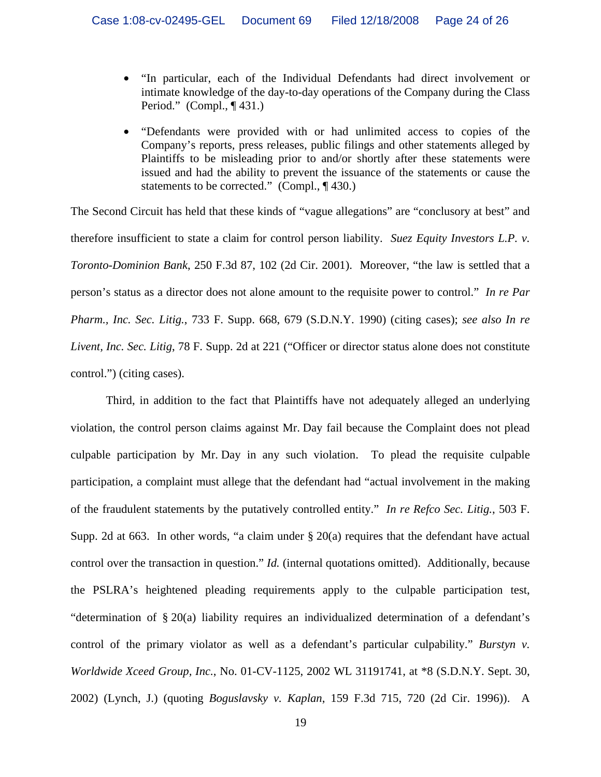- "In particular, each of the Individual Defendants had direct involvement or intimate knowledge of the day-to-day operations of the Company during the Class Period." (Compl., ¶ 431.)
- "Defendants were provided with or had unlimited access to copies of the Company's reports, press releases, public filings and other statements alleged by Plaintiffs to be misleading prior to and/or shortly after these statements were issued and had the ability to prevent the issuance of the statements or cause the statements to be corrected." (Compl., ¶430.)

The Second Circuit has held that these kinds of "vague allegations" are "conclusory at best" and therefore insufficient to state a claim for control person liability. *Suez Equity Investors L.P. v. Toronto-Dominion Bank*, 250 F.3d 87, 102 (2d Cir. 2001). Moreover, "the law is settled that a person's status as a director does not alone amount to the requisite power to control." *In re Par Pharm., Inc. Sec. Litig.*, 733 F. Supp. 668, 679 (S.D.N.Y. 1990) (citing cases); *see also In re Livent, Inc. Sec. Litig*, 78 F. Supp. 2d at 221 ("Officer or director status alone does not constitute control.") (citing cases).

Third, in addition to the fact that Plaintiffs have not adequately alleged an underlying violation, the control person claims against Mr. Day fail because the Complaint does not plead culpable participation by Mr. Day in any such violation. To plead the requisite culpable participation, a complaint must allege that the defendant had "actual involvement in the making of the fraudulent statements by the putatively controlled entity." *In re Refco Sec. Litig.*, 503 F. Supp. 2d at 663. In other words, "a claim under  $\S 20(a)$  requires that the defendant have actual control over the transaction in question." *Id.* (internal quotations omitted). Additionally, because the PSLRA's heightened pleading requirements apply to the culpable participation test, "determination of § 20(a) liability requires an individualized determination of a defendant's control of the primary violator as well as a defendant's particular culpability." *Burstyn v. Worldwide Xceed Group, Inc.*, No. 01-CV-1125, 2002 WL 31191741, at \*8 (S.D.N.Y. Sept. 30, 2002) (Lynch, J.) (quoting *Boguslavsky v. Kaplan*, 159 F.3d 715, 720 (2d Cir. 1996)). A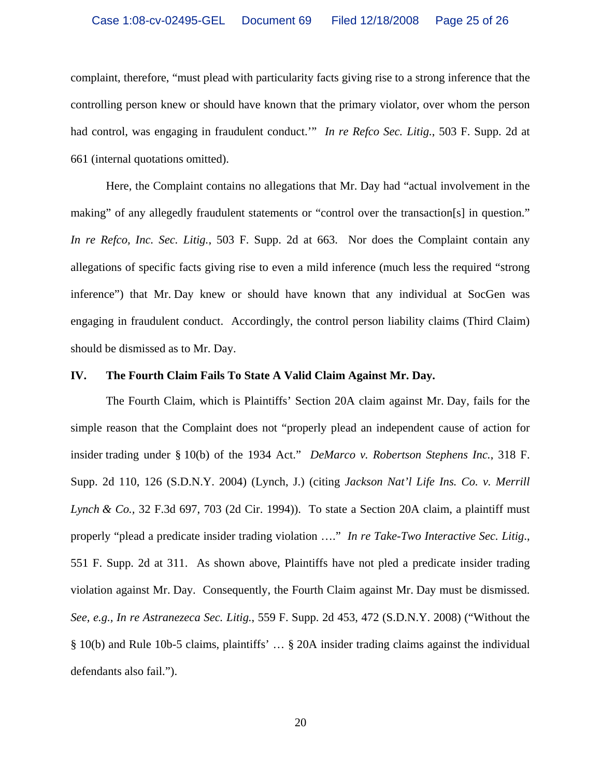complaint, therefore, "must plead with particularity facts giving rise to a strong inference that the controlling person knew or should have known that the primary violator, over whom the person had control, was engaging in fraudulent conduct.'" *In re Refco Sec. Litig.*, 503 F. Supp. 2d at 661 (internal quotations omitted).

Here, the Complaint contains no allegations that Mr. Day had "actual involvement in the making" of any allegedly fraudulent statements or "control over the transaction[s] in question." *In re Refco, Inc. Sec. Litig.*, 503 F. Supp. 2d at 663. Nor does the Complaint contain any allegations of specific facts giving rise to even a mild inference (much less the required "strong inference") that Mr. Day knew or should have known that any individual at SocGen was engaging in fraudulent conduct. Accordingly, the control person liability claims (Third Claim) should be dismissed as to Mr. Day.

#### **IV. The Fourth Claim Fails To State A Valid Claim Against Mr. Day.**

The Fourth Claim, which is Plaintiffs' Section 20A claim against Mr. Day, fails for the simple reason that the Complaint does not "properly plead an independent cause of action for insider trading under § 10(b) of the 1934 Act." *DeMarco v. Robertson Stephens Inc.*, 318 F. Supp. 2d 110, 126 (S.D.N.Y. 2004) (Lynch, J.) (citing *Jackson Nat'l Life Ins. Co. v. Merrill Lynch & Co.,* 32 F.3d 697, 703 (2d Cir. 1994)). To state a Section 20A claim, a plaintiff must properly "plead a predicate insider trading violation …." *In re Take-Two Interactive Sec. Litig*., 551 F. Supp. 2d at 311. As shown above, Plaintiffs have not pled a predicate insider trading violation against Mr. Day. Consequently, the Fourth Claim against Mr. Day must be dismissed. *See, e.g., In re Astranezeca Sec. Litig.*, 559 F. Supp. 2d 453, 472 (S.D.N.Y. 2008) ("Without the § 10(b) and Rule 10b-5 claims, plaintiffs' … § 20A insider trading claims against the individual defendants also fail.").